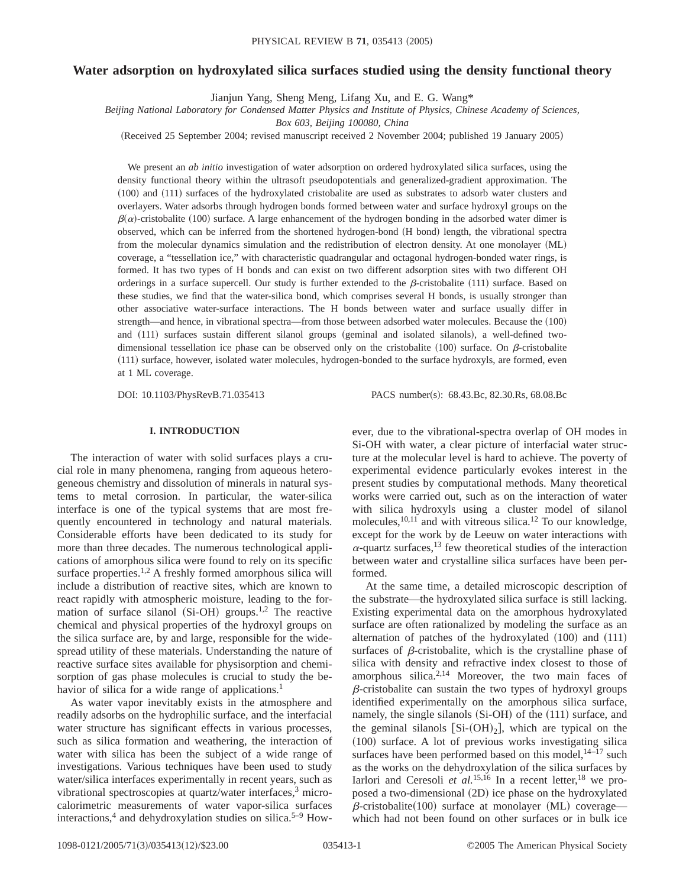# **Water adsorption on hydroxylated silica surfaces studied using the density functional theory**

Jianjun Yang, Sheng Meng, Lifang Xu, and E. G. Wang\*

*Beijing National Laboratory for Condensed Matter Physics and Institute of Physics, Chinese Academy of Sciences,*

*Box 603, Beijing 100080, China*

(Received 25 September 2004; revised manuscript received 2 November 2004; published 19 January 2005)

We present an *ab initio* investigation of water adsorption on ordered hydroxylated silica surfaces, using the density functional theory within the ultrasoft pseudopotentials and generalized-gradient approximation. The s100d and s111d surfaces of the hydroxylated cristobalite are used as substrates to adsorb water clusters and overlayers. Water adsorbs through hydrogen bonds formed between water and surface hydroxyl groups on the  $\beta(\alpha)$ -cristobalite (100) surface. A large enhancement of the hydrogen bonding in the adsorbed water dimer is observed, which can be inferred from the shortened hydrogen-bond (H bond) length, the vibrational spectra from the molecular dynamics simulation and the redistribution of electron density. At one monolayer (ML) coverage, a "tessellation ice," with characteristic quadrangular and octagonal hydrogen-bonded water rings, is formed. It has two types of H bonds and can exist on two different adsorption sites with two different OH orderings in a surface supercell. Our study is further extended to the  $\beta$ -cristobalite (111) surface. Based on these studies, we find that the water-silica bond, which comprises several H bonds, is usually stronger than other associative water-surface interactions. The H bonds between water and surface usually differ in strength—and hence, in vibrational spectra—from those between adsorbed water molecules. Because the  $(100)$ and (111) surfaces sustain different silanol groups (geminal and isolated silanols), a well-defined twodimensional tessellation ice phase can be observed only on the cristobalite  $(100)$  surface. On  $\beta$ -cristobalite s111d surface, however, isolated water molecules, hydrogen-bonded to the surface hydroxyls, are formed, even at 1 ML coverage.

DOI: 10.1103/PhysRevB.71.035413 PACS number(s): 68.43.Bc, 82.30.Rs, 68.08.Bc

## **I. INTRODUCTION**

The interaction of water with solid surfaces plays a crucial role in many phenomena, ranging from aqueous heterogeneous chemistry and dissolution of minerals in natural systems to metal corrosion. In particular, the water-silica interface is one of the typical systems that are most frequently encountered in technology and natural materials. Considerable efforts have been dedicated to its study for more than three decades. The numerous technological applications of amorphous silica were found to rely on its specific surface properties.<sup>1,2</sup> A freshly formed amorphous silica will include a distribution of reactive sites, which are known to react rapidly with atmospheric moisture, leading to the formation of surface silanol (Si-OH) groups.<sup>1,2</sup> The reactive chemical and physical properties of the hydroxyl groups on the silica surface are, by and large, responsible for the widespread utility of these materials. Understanding the nature of reactive surface sites available for physisorption and chemisorption of gas phase molecules is crucial to study the behavior of silica for a wide range of applications.<sup>1</sup>

As water vapor inevitably exists in the atmosphere and readily adsorbs on the hydrophilic surface, and the interfacial water structure has significant effects in various processes, such as silica formation and weathering, the interaction of water with silica has been the subject of a wide range of investigations. Various techniques have been used to study water/silica interfaces experimentally in recent years, such as vibrational spectroscopies at quartz/water interfaces,3 microcalorimetric measurements of water vapor-silica surfaces interactions,<sup>4</sup> and dehydroxylation studies on silica.<sup>5-9</sup> However, due to the vibrational-spectra overlap of OH modes in Si-OH with water, a clear picture of interfacial water structure at the molecular level is hard to achieve. The poverty of experimental evidence particularly evokes interest in the present studies by computational methods. Many theoretical works were carried out, such as on the interaction of water with silica hydroxyls using a cluster model of silanol molecules, $10,11$  and with vitreous silica.<sup>12</sup> To our knowledge, except for the work by de Leeuw on water interactions with  $\alpha$ -quartz surfaces,<sup>13</sup> few theoretical studies of the interaction between water and crystalline silica surfaces have been performed.

At the same time, a detailed microscopic description of the substrate—the hydroxylated silica surface is still lacking. Existing experimental data on the amorphous hydroxylated surface are often rationalized by modeling the surface as an alternation of patches of the hydroxylated  $(100)$  and  $(111)$ surfaces of  $\beta$ -cristobalite, which is the crystalline phase of silica with density and refractive index closest to those of amorphous silica. $2,14$  Moreover, the two main faces of  $\beta$ -cristobalite can sustain the two types of hydroxyl groups identified experimentally on the amorphous silica surface, namely, the single silanols  $(Si-OH)$  of the  $(111)$  surface, and the geminal silanols  $[Si-(OH)_2]$ , which are typical on the  $(100)$  surface. A lot of previous works investigating silica surfaces have been performed based on this model,  $14-17$  such as the works on the dehydroxylation of the silica surfaces by Iarlori and Ceresoli *et al.*<sup>15,16</sup> In a recent letter,<sup>18</sup> we proposed a two-dimensional (2D) ice phase on the hydroxylated  $\beta$ -cristobalite(100) surface at monolayer (ML) coverage which had not been found on other surfaces or in bulk ice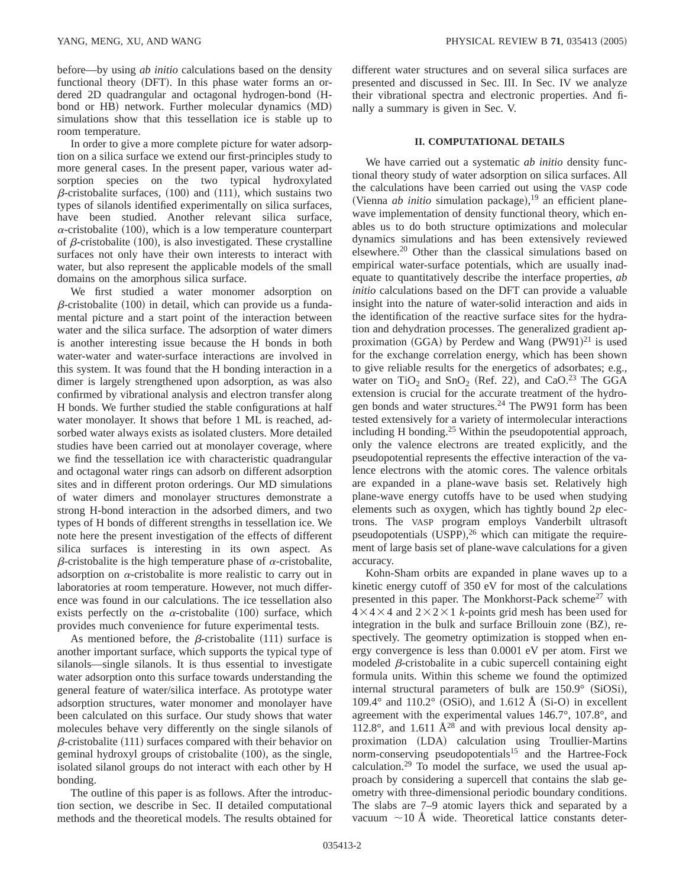before—by using *ab initio* calculations based on the density functional theory (DFT). In this phase water forms an ordered  $2D$  quadrangular and octagonal hydrogen-bond  $(H$ bond or HB) network. Further molecular dynamics (MD) simulations show that this tessellation ice is stable up to room temperature.

In order to give a more complete picture for water adsorption on a silica surface we extend our first-principles study to more general cases. In the present paper, various water adsorption species on the two typical hydroxylated  $\beta$ -cristobalite surfaces, (100) and (111), which sustains two types of silanols identified experimentally on silica surfaces, have been studied. Another relevant silica surface,  $\alpha$ -cristobalite (100), which is a low temperature counterpart of  $\beta$ -cristobalite (100), is also investigated. These crystalline surfaces not only have their own interests to interact with water, but also represent the applicable models of the small domains on the amorphous silica surface.

We first studied a water monomer adsorption on  $\beta$ -cristobalite (100) in detail, which can provide us a fundamental picture and a start point of the interaction between water and the silica surface. The adsorption of water dimers is another interesting issue because the H bonds in both water-water and water-surface interactions are involved in this system. It was found that the H bonding interaction in a dimer is largely strengthened upon adsorption, as was also confirmed by vibrational analysis and electron transfer along H bonds. We further studied the stable configurations at half water monolayer. It shows that before 1 ML is reached, adsorbed water always exists as isolated clusters. More detailed studies have been carried out at monolayer coverage, where we find the tessellation ice with characteristic quadrangular and octagonal water rings can adsorb on different adsorption sites and in different proton orderings. Our MD simulations of water dimers and monolayer structures demonstrate a strong H-bond interaction in the adsorbed dimers, and two types of H bonds of different strengths in tessellation ice. We note here the present investigation of the effects of different silica surfaces is interesting in its own aspect. As  $\beta$ -cristobalite is the high temperature phase of  $\alpha$ -cristobalite, adsorption on  $\alpha$ -cristobalite is more realistic to carry out in laboratories at room temperature. However, not much difference was found in our calculations. The ice tessellation also exists perfectly on the  $\alpha$ -cristobalite (100) surface, which provides much convenience for future experimental tests.

As mentioned before, the  $\beta$ -cristobalite (111) surface is another important surface, which supports the typical type of silanols—single silanols. It is thus essential to investigate water adsorption onto this surface towards understanding the general feature of water/silica interface. As prototype water adsorption structures, water monomer and monolayer have been calculated on this surface. Our study shows that water molecules behave very differently on the single silanols of  $\beta$ -cristobalite (111) surfaces compared with their behavior on geminal hydroxyl groups of cristobalite  $(100)$ , as the single, isolated silanol groups do not interact with each other by H bonding.

The outline of this paper is as follows. After the introduction section, we describe in Sec. II detailed computational methods and the theoretical models. The results obtained for different water structures and on several silica surfaces are presented and discussed in Sec. III. In Sec. IV we analyze their vibrational spectra and electronic properties. And finally a summary is given in Sec. V.

# **II. COMPUTATIONAL DETAILS**

We have carried out a systematic *ab initio* density functional theory study of water adsorption on silica surfaces. All the calculations have been carried out using the VASP code (Vienna *ab initio* simulation package), $19$  an efficient planewave implementation of density functional theory, which enables us to do both structure optimizations and molecular dynamics simulations and has been extensively reviewed elsewhere.20 Other than the classical simulations based on empirical water-surface potentials, which are usually inadequate to quantitatively describe the interface properties, *ab initio* calculations based on the DFT can provide a valuable insight into the nature of water-solid interaction and aids in the identification of the reactive surface sites for the hydration and dehydration processes. The generalized gradient approximation (GGA) by Perdew and Wang  $(PW91)^{21}$  is used for the exchange correlation energy, which has been shown to give reliable results for the energetics of adsorbates; e.g., water on TiO<sub>2</sub> and SnO<sub>2</sub> (Ref. 22), and CaO.<sup>23</sup> The GGA extension is crucial for the accurate treatment of the hydrogen bonds and water structures.<sup>24</sup> The PW91 form has been tested extensively for a variety of intermolecular interactions including H bonding.25 Within the pseudopotential approach, only the valence electrons are treated explicitly, and the pseudopotential represents the effective interaction of the valence electrons with the atomic cores. The valence orbitals are expanded in a plane-wave basis set. Relatively high plane-wave energy cutoffs have to be used when studying elements such as oxygen, which has tightly bound 2*p* electrons. The VASP program employs Vanderbilt ultrasoft pseudopotentials  $(USPP)$ ,<sup>26</sup> which can mitigate the requirement of large basis set of plane-wave calculations for a given accuracy.

Kohn-Sham orbits are expanded in plane waves up to a kinetic energy cutoff of 350 eV for most of the calculations presented in this paper. The Monkhorst-Pack scheme<sup>27</sup> with  $4 \times 4 \times 4$  and  $2 \times 2 \times 1$  *k*-points grid mesh has been used for integration in the bulk and surface Brillouin zone (BZ), respectively. The geometry optimization is stopped when energy convergence is less than 0.0001 eV per atom. First we modeled  $\beta$ -cristobalite in a cubic supercell containing eight formula units. Within this scheme we found the optimized internal structural parameters of bulk are  $150.9^\circ$  (SiOSi), 109.4° and 110.2° (OSiO), and 1.612 Å (Si-O) in excellent agreement with the experimental values 146.7°, 107.8°, and 112.8°, and 1.611  $\AA^{28}$  and with previous local density approximation (LDA) calculation using Troullier-Martins norm-conserving pseudopotentials<sup>15</sup> and the Hartree-Fock calculation.29 To model the surface, we used the usual approach by considering a supercell that contains the slab geometry with three-dimensional periodic boundary conditions. The slabs are 7–9 atomic layers thick and separated by a vacuum  $\sim$ 10 Å wide. Theoretical lattice constants deter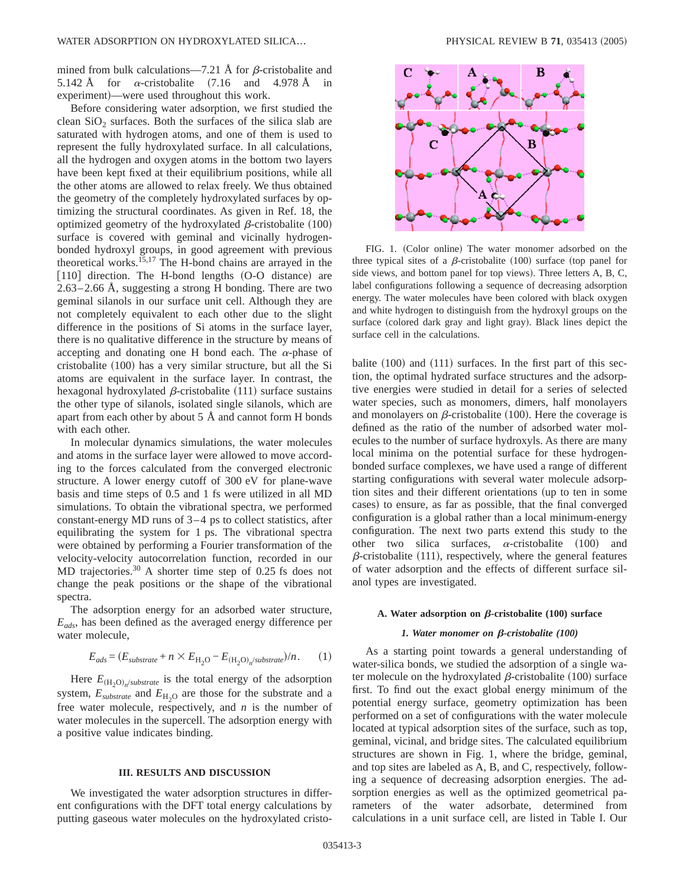mined from bulk calculations—7.21 Å for  $\beta$ -cristobalite and 5.142 Å for  $\alpha$ -cristobalite (7.16 and 4.978 Å in experiment)—were used throughout this work.

Before considering water adsorption, we first studied the clean  $SiO<sub>2</sub>$  surfaces. Both the surfaces of the silica slab are saturated with hydrogen atoms, and one of them is used to represent the fully hydroxylated surface. In all calculations, all the hydrogen and oxygen atoms in the bottom two layers have been kept fixed at their equilibrium positions, while all the other atoms are allowed to relax freely. We thus obtained the geometry of the completely hydroxylated surfaces by optimizing the structural coordinates. As given in Ref. 18, the optimized geometry of the hydroxylated  $\beta$ -cristobalite (100) surface is covered with geminal and vicinally hydrogenbonded hydroxyl groups, in good agreement with previous theoretical works.<sup>15,17</sup> The H-bond chains are arrayed in the  $[110]$  direction. The H-bond lengths  $(O-O$  distance) are 2.63–2.66 Å, suggesting a strong H bonding. There are two geminal silanols in our surface unit cell. Although they are not completely equivalent to each other due to the slight difference in the positions of Si atoms in the surface layer, there is no qualitative difference in the structure by means of accepting and donating one H bond each. The  $\alpha$ -phase of cristobalite  $(100)$  has a very similar structure, but all the Si atoms are equivalent in the surface layer. In contrast, the hexagonal hydroxylated  $\beta$ -cristobalite (111) surface sustains the other type of silanols, isolated single silanols, which are apart from each other by about 5 Å and cannot form H bonds with each other.

In molecular dynamics simulations, the water molecules and atoms in the surface layer were allowed to move according to the forces calculated from the converged electronic structure. A lower energy cutoff of 300 eV for plane-wave basis and time steps of 0.5 and 1 fs were utilized in all MD simulations. To obtain the vibrational spectra, we performed constant-energy MD runs of 3–4 ps to collect statistics, after equilibrating the system for 1 ps. The vibrational spectra were obtained by performing a Fourier transformation of the velocity-velocity autocorrelation function, recorded in our MD trajectories.<sup>30</sup> A shorter time step of 0.25 fs does not change the peak positions or the shape of the vibrational spectra.

The adsorption energy for an adsorbed water structure, *Eads*, has been defined as the averaged energy difference per water molecule,

$$
E_{ads} = (E_{\text{substrate}} + n \times E_{\text{H}_2\text{O}} - E_{\text{(H}_2\text{O})_n/\text{substrate}})/n. \tag{1}
$$

Here  $E_{(H_2O)_n$ /*substrate* is the total energy of the adsorption system,  $E_{substrate}$  and  $E_{H<sub>2</sub>O}$  are those for the substrate and a free water molecule, respectively, and *n* is the number of water molecules in the supercell. The adsorption energy with a positive value indicates binding.

#### **III. RESULTS AND DISCUSSION**

We investigated the water adsorption structures in different configurations with the DFT total energy calculations by putting gaseous water molecules on the hydroxylated cristo-



FIG. 1. (Color online) The water monomer adsorbed on the three typical sites of a  $\beta$ -cristobalite (100) surface (top panel for side views, and bottom panel for top views). Three letters A, B, C, label configurations following a sequence of decreasing adsorption energy. The water molecules have been colored with black oxygen and white hydrogen to distinguish from the hydroxyl groups on the surface (colored dark gray and light gray). Black lines depict the surface cell in the calculations.

balite  $(100)$  and  $(111)$  surfaces. In the first part of this section, the optimal hydrated surface structures and the adsorptive energies were studied in detail for a series of selected water species, such as monomers, dimers, half monolayers and monolayers on  $\beta$ -cristobalite (100). Here the coverage is defined as the ratio of the number of adsorbed water molecules to the number of surface hydroxyls. As there are many local minima on the potential surface for these hydrogenbonded surface complexes, we have used a range of different starting configurations with several water molecule adsorption sites and their different orientations (up to ten in some cases) to ensure, as far as possible, that the final converged configuration is a global rather than a local minimum-energy configuration. The next two parts extend this study to the other two silica surfaces,  $\alpha$ -cristobalite (100) and  $\beta$ -cristobalite (111), respectively, where the general features of water adsorption and the effects of different surface silanol types are investigated.

#### A. Water adsorption on  $\beta$ -cristobalite (100) surface

# 1. Water monomer on β-cristobalite (100)

As a starting point towards a general understanding of water-silica bonds, we studied the adsorption of a single water molecule on the hydroxylated  $\beta$ -cristobalite (100) surface first. To find out the exact global energy minimum of the potential energy surface, geometry optimization has been performed on a set of configurations with the water molecule located at typical adsorption sites of the surface, such as top, geminal, vicinal, and bridge sites. The calculated equilibrium structures are shown in Fig. 1, where the bridge, geminal, and top sites are labeled as A, B, and C, respectively, following a sequence of decreasing adsorption energies. The adsorption energies as well as the optimized geometrical parameters of the water adsorbate, determined from calculations in a unit surface cell, are listed in Table I. Our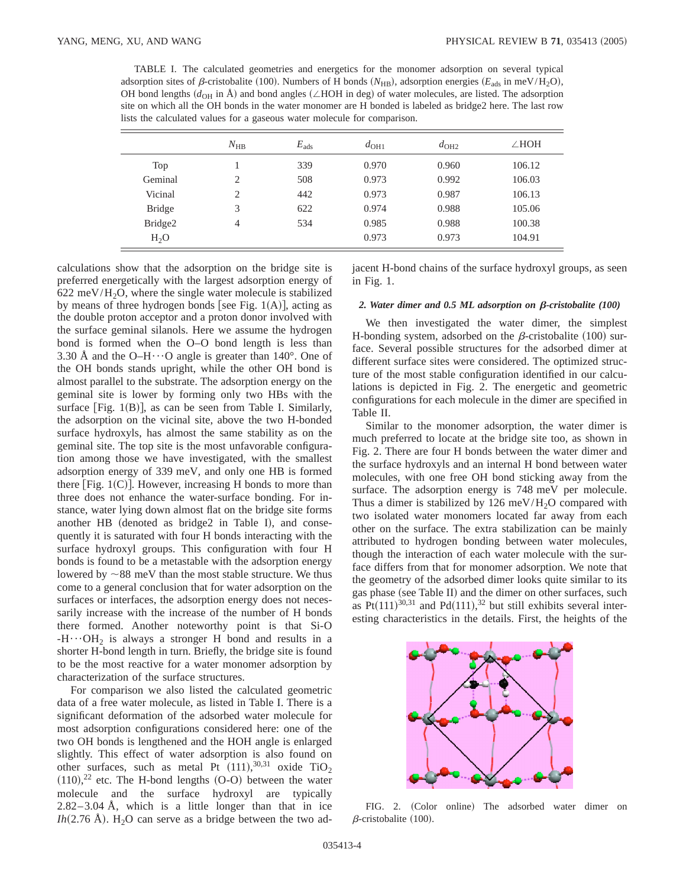TABLE I. The calculated geometries and energetics for the monomer adsorption on several typical adsorption sites of  $\beta$ -cristobalite (100). Numbers of H bonds ( $N_{\text{HB}}$ ), adsorption energies ( $E_{\text{ads}}$  in meV/H<sub>2</sub>O), OH bond lengths  $(d_{OH} \text{ in } A)$  and bond angles ( $\angle$ HOH in deg) of water molecules, are listed. The adsorption site on which all the OH bonds in the water monomer are H bonded is labeled as bridge2 here. The last row lists the calculated values for a gaseous water molecule for comparison.

|                     | $N_{\rm HB}$   | $E_{\text{ads}}$ | $d_{\text{OH1}}$ | $d_{\text{OH2}}$ | $\angle$ HOH |
|---------------------|----------------|------------------|------------------|------------------|--------------|
| Top                 |                | 339              | 0.970            | 0.960            | 106.12       |
| Geminal             | 2              | 508              | 0.973            | 0.992            | 106.03       |
| Vicinal             | $\overline{c}$ | 442              | 0.973            | 0.987            | 106.13       |
| <b>Bridge</b>       | 3              | 622              | 0.974            | 0.988            | 105.06       |
| Bridge <sub>2</sub> | 4              | 534              | 0.985            | 0.988            | 100.38       |
| H <sub>2</sub> O    |                |                  | 0.973            | 0.973            | 104.91       |

calculations show that the adsorption on the bridge site is preferred energetically with the largest adsorption energy of  $622 \text{ meV/H}_2\text{O}$ , where the single water molecule is stabilized by means of three hydrogen bonds [see Fig.  $1(A)$ ], acting as the double proton acceptor and a proton donor involved with the surface geminal silanols. Here we assume the hydrogen bond is formed when the O–O bond length is less than 3.30 Å and the O–H $\cdots$ O angle is greater than 140 $\degree$ . One of the OH bonds stands upright, while the other OH bond is almost parallel to the substrate. The adsorption energy on the geminal site is lower by forming only two HBs with the surface [Fig.  $1(B)$ ], as can be seen from Table I. Similarly, the adsorption on the vicinal site, above the two H-bonded surface hydroxyls, has almost the same stability as on the geminal site. The top site is the most unfavorable configuration among those we have investigated, with the smallest adsorption energy of 339 meV, and only one HB is formed there  $[Fig. 1(C)]$ . However, increasing H bonds to more than three does not enhance the water-surface bonding. For instance, water lying down almost flat on the bridge site forms another HB (denoted as bridge2 in Table I), and consequently it is saturated with four H bonds interacting with the surface hydroxyl groups. This configuration with four H bonds is found to be a metastable with the adsorption energy lowered by  $\sim$ 88 meV than the most stable structure. We thus come to a general conclusion that for water adsorption on the surfaces or interfaces, the adsorption energy does not necessarily increase with the increase of the number of H bonds there formed. Another noteworthy point is that Si-O  $-H \cdots OH_2$  is always a stronger H bond and results in a shorter H-bond length in turn. Briefly, the bridge site is found to be the most reactive for a water monomer adsorption by characterization of the surface structures.

For comparison we also listed the calculated geometric data of a free water molecule, as listed in Table I. There is a significant deformation of the adsorbed water molecule for most adsorption configurations considered here: one of the two OH bonds is lengthened and the HOH angle is enlarged slightly. This effect of water adsorption is also found on other surfaces, such as metal Pt  $(111),^{30,31}$  oxide TiO<sub>2</sub>  $(110),<sup>22</sup>$  etc. The H-bond lengths  $(O-O)$  between the water molecule and the surface hydroxyl are typically  $2.82-3.04$  Å, which is a little longer than that in ice *Ih* $(2.76 \text{ Å})$ . H<sub>2</sub>O can serve as a bridge between the two adjacent H-bond chains of the surface hydroxyl groups, as seen in Fig. 1.

#### *2. Water dimer and 0.5 ML adsorption on* b*-cristobalite (100)*

We then investigated the water dimer, the simplest H-bonding system, adsorbed on the  $\beta$ -cristobalite (100) surface. Several possible structures for the adsorbed dimer at different surface sites were considered. The optimized structure of the most stable configuration identified in our calculations is depicted in Fig. 2. The energetic and geometric configurations for each molecule in the dimer are specified in Table II.

Similar to the monomer adsorption, the water dimer is much preferred to locate at the bridge site too, as shown in Fig. 2. There are four H bonds between the water dimer and the surface hydroxyls and an internal H bond between water molecules, with one free OH bond sticking away from the surface. The adsorption energy is 748 meV per molecule. Thus a dimer is stabilized by 126 meV/ $H_2O$  compared with two isolated water monomers located far away from each other on the surface. The extra stabilization can be mainly attributed to hydrogen bonding between water molecules, though the interaction of each water molecule with the surface differs from that for monomer adsorption. We note that the geometry of the adsorbed dimer looks quite similar to its gas phase (see Table II) and the dimer on other surfaces, such as Pt $(111)^{30,31}$  and Pd $(111)^{32}$  but still exhibits several interesting characteristics in the details. First, the heights of the



FIG. 2. (Color online) The adsorbed water dimer on  $\beta$ -cristobalite (100).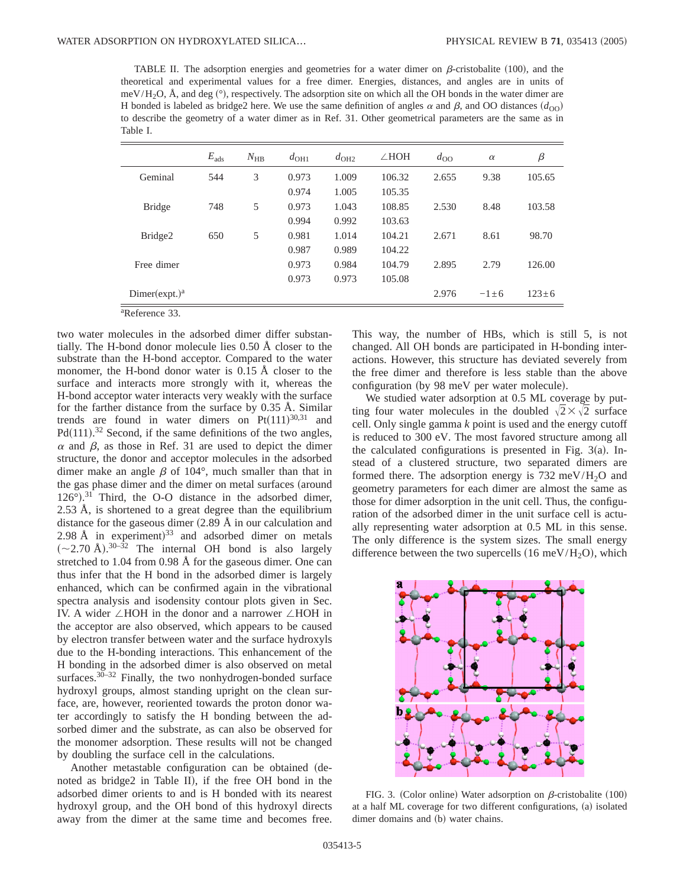TABLE II. The adsorption energies and geometries for a water dimer on  $\beta$ -cristobalite (100), and the theoretical and experimental values for a free dimer. Energies, distances, and angles are in units of meV/H<sub>2</sub>O,  $\AA$ , and deg ( $\degree$ ), respectively. The adsorption site on which all the OH bonds in the water dimer are H bonded is labeled as bridge2 here. We use the same definition of angles  $\alpha$  and  $\beta$ , and OO distances  $(d_{\text{OO}})$ to describe the geometry of a water dimer as in Ref. 31. Other geometrical parameters are the same as in Table I.

|                            | $E_{\text{ads}}$ | $N_{\rm HB}$ | $d_{\text{OH1}}$ | $d_{\text{OH2}}$ | $\angle$ HOH | $d_{\Omega}$ | $\alpha$ | β       |
|----------------------------|------------------|--------------|------------------|------------------|--------------|--------------|----------|---------|
| Geminal                    | 544              | 3            | 0.973            | 1.009            | 106.32       | 2.655        | 9.38     | 105.65  |
|                            |                  |              | 0.974            | 1.005            | 105.35       |              |          |         |
| <b>Bridge</b>              | 748              | 5            | 0.973            | 1.043            | 108.85       | 2.530        | 8.48     | 103.58  |
|                            |                  |              | 0.994            | 0.992            | 103.63       |              |          |         |
| Bridge2                    | 650              | 5            | 0.981            | 1.014            | 104.21       | 2.671        | 8.61     | 98.70   |
|                            |                  |              | 0.987            | 0.989            | 104.22       |              |          |         |
| Free dimer                 |                  |              | 0.973            | 0.984            | 104.79       | 2.895        | 2.79     | 126.00  |
|                            |                  |              | 0.973            | 0.973            | 105.08       |              |          |         |
| Dimer(expt.) <sup>a</sup>  |                  |              |                  |                  |              | 2.976        | $-1+6$   | $123+6$ |
| <sup>a</sup> Reference 33. |                  |              |                  |                  |              |              |          |         |

two water molecules in the adsorbed dimer differ substantially. The H-bond donor molecule lies 0.50 Å closer to the substrate than the H-bond acceptor. Compared to the water monomer, the H-bond donor water is 0.15 Å closer to the surface and interacts more strongly with it, whereas the H-bond acceptor water interacts very weakly with the surface for the farther distance from the surface by 0.35 Å. Similar trends are found in water dimers on  $Pt(111)^{30,31}$  and  $Pd(111).$ <sup>32</sup> Second, if the same definitions of the two angles,  $\alpha$  and  $\beta$ , as those in Ref. 31 are used to depict the dimer structure, the donor and acceptor molecules in the adsorbed dimer make an angle  $\beta$  of 104°, much smaller than that in the gas phase dimer and the dimer on metal surfaces (around  $126^\circ$ ).<sup>31</sup> Third, the O-O distance in the adsorbed dimer, 2.53 Å, is shortened to a great degree than the equilibrium distance for the gaseous dimer  $(2.89 \text{ Å}$  in our calculation and 2.98 Å in experiment)<sup>33</sup> and adsorbed dimer on metals  $({\sim}2.70 \text{ Å})$ . 30–32 The internal OH bond is also largely stretched to 1.04 from 0.98 Å for the gaseous dimer. One can thus infer that the H bond in the adsorbed dimer is largely enhanced, which can be confirmed again in the vibrational spectra analysis and isodensity contour plots given in Sec. IV. A wider  $\angle$ HOH in the donor and a narrower  $\angle$ HOH in the acceptor are also observed, which appears to be caused by electron transfer between water and the surface hydroxyls due to the H-bonding interactions. This enhancement of the H bonding in the adsorbed dimer is also observed on metal surfaces. $30-32$  Finally, the two nonhydrogen-bonded surface hydroxyl groups, almost standing upright on the clean surface, are, however, reoriented towards the proton donor water accordingly to satisfy the H bonding between the adsorbed dimer and the substrate, as can also be observed for the monomer adsorption. These results will not be changed by doubling the surface cell in the calculations.

Another metastable configuration can be obtained (denoted as bridge2 in Table II), if the free OH bond in the adsorbed dimer orients to and is H bonded with its nearest hydroxyl group, and the OH bond of this hydroxyl directs away from the dimer at the same time and becomes free. This way, the number of HBs, which is still 5, is not changed. All OH bonds are participated in H-bonding interactions. However, this structure has deviated severely from the free dimer and therefore is less stable than the above configuration (by 98 meV per water molecule).

We studied water adsorption at 0.5 ML coverage by putting four water molecules in the doubled  $\sqrt{2} \times \sqrt{2}$  surface cell. Only single gamma *k* point is used and the energy cutoff is reduced to 300 eV. The most favored structure among all the calculated configurations is presented in Fig.  $3(a)$ . Instead of a clustered structure, two separated dimers are formed there. The adsorption energy is  $732 \text{ meV/H}_2\text{O}$  and geometry parameters for each dimer are almost the same as those for dimer adsorption in the unit cell. Thus, the configuration of the adsorbed dimer in the unit surface cell is actually representing water adsorption at 0.5 ML in this sense. The only difference is the system sizes. The small energy difference between the two supercells  $(16 \text{ meV/H}_2\text{O})$ , which



FIG. 3. (Color online) Water adsorption on  $\beta$ -cristobalite (100) at a half ML coverage for two different configurations, (a) isolated dimer domains and (b) water chains.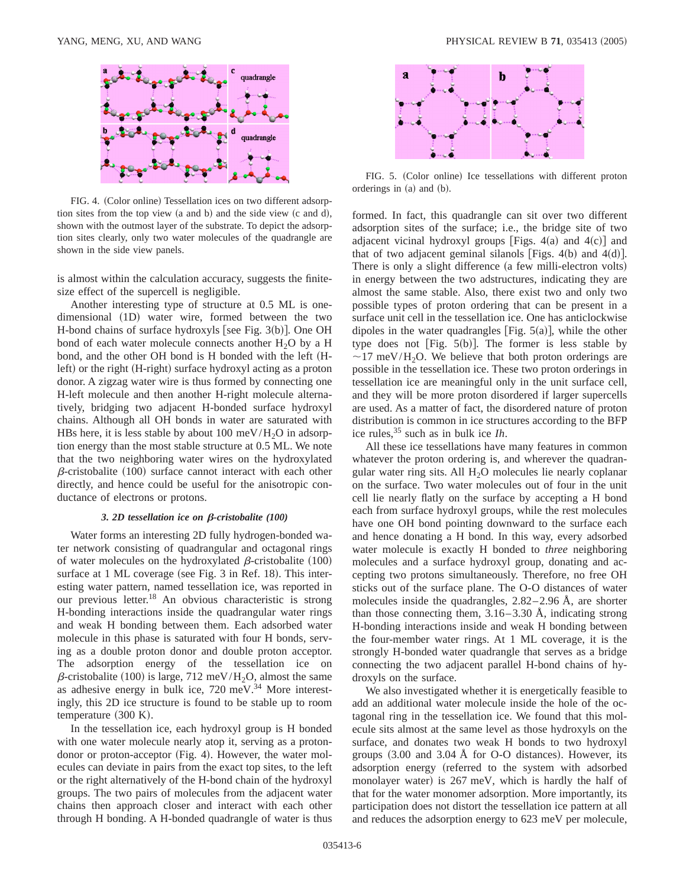

FIG. 4. (Color online) Tessellation ices on two different adsorption sites from the top view  $(a \text{ and } b)$  and the side view  $(c \text{ and } d)$ , shown with the outmost layer of the substrate. To depict the adsorption sites clearly, only two water molecules of the quadrangle are shown in the side view panels.

is almost within the calculation accuracy, suggests the finitesize effect of the supercell is negligible.

Another interesting type of structure at 0.5 ML is onedimensional (1D) water wire, formed between the two H-bond chains of surface hydroxyls [see Fig.  $3(b)$ ]. One OH bond of each water molecule connects another  $H_2O$  by a H bond, and the other OH bond is H bonded with the left (Hleft) or the right (H-right) surface hydroxyl acting as a proton donor. A zigzag water wire is thus formed by connecting one H-left molecule and then another H-right molecule alternatively, bridging two adjacent H-bonded surface hydroxyl chains. Although all OH bonds in water are saturated with HBs here, it is less stable by about 100 meV/H<sub>2</sub>O in adsorption energy than the most stable structure at 0.5 ML. We note that the two neighboring water wires on the hydroxylated  $\beta$ -cristobalite (100) surface cannot interact with each other directly, and hence could be useful for the anisotropic conductance of electrons or protons.

# *3. 2D tessellation ice on* b*-cristobalite (100)*

Water forms an interesting 2D fully hydrogen-bonded water network consisting of quadrangular and octagonal rings of water molecules on the hydroxylated  $\beta$ -cristobalite (100) surface at 1 ML coverage (see Fig.  $3$  in Ref. 18). This interesting water pattern, named tessellation ice, was reported in our previous letter.18 An obvious characteristic is strong H-bonding interactions inside the quadrangular water rings and weak H bonding between them. Each adsorbed water molecule in this phase is saturated with four H bonds, serving as a double proton donor and double proton acceptor. The adsorption energy of the tessellation ice on  $\beta$ -cristobalite (100) is large, 712 meV/H<sub>2</sub>O, almost the same as adhesive energy in bulk ice,  $720 \text{ meV.}^{34}$  More interestingly, this 2D ice structure is found to be stable up to room temperature  $(300 \text{ K})$ .

In the tessellation ice, each hydroxyl group is H bonded with one water molecule nearly atop it, serving as a protondonor or proton-acceptor (Fig. 4). However, the water molecules can deviate in pairs from the exact top sites, to the left or the right alternatively of the H-bond chain of the hydroxyl groups. The two pairs of molecules from the adjacent water chains then approach closer and interact with each other through H bonding. A H-bonded quadrangle of water is thus



FIG. 5. (Color online) Ice tessellations with different proton orderings in  $(a)$  and  $(b)$ .

formed. In fact, this quadrangle can sit over two different adsorption sites of the surface; i.e., the bridge site of two adjacent vicinal hydroxyl groups [Figs. 4(a) and  $4(c)$ ] and that of two adjacent geminal silanols [Figs. 4(b) and 4(d)]. There is only a slight difference (a few milli-electron volts) in energy between the two adstructures, indicating they are almost the same stable. Also, there exist two and only two possible types of proton ordering that can be present in a surface unit cell in the tessellation ice. One has anticlockwise dipoles in the water quadrangles [Fig.  $5(a)$ ], while the other type does not [Fig.  $5(b)$ ]. The former is less stable by  $\sim$ 17 meV/H<sub>2</sub>O. We believe that both proton orderings are possible in the tessellation ice. These two proton orderings in tessellation ice are meaningful only in the unit surface cell, and they will be more proton disordered if larger supercells are used. As a matter of fact, the disordered nature of proton distribution is common in ice structures according to the BFP ice rules,35 such as in bulk ice *Ih*.

All these ice tessellations have many features in common whatever the proton ordering is, and wherever the quadrangular water ring sits. All  $H<sub>2</sub>O$  molecules lie nearly coplanar on the surface. Two water molecules out of four in the unit cell lie nearly flatly on the surface by accepting a H bond each from surface hydroxyl groups, while the rest molecules have one OH bond pointing downward to the surface each and hence donating a H bond. In this way, every adsorbed water molecule is exactly H bonded to *three* neighboring molecules and a surface hydroxyl group, donating and accepting two protons simultaneously. Therefore, no free OH sticks out of the surface plane. The O-O distances of water molecules inside the quadrangles, 2.82–2.96 Å, are shorter than those connecting them, 3.16–3.30 Å, indicating strong H-bonding interactions inside and weak H bonding between the four-member water rings. At 1 ML coverage, it is the strongly H-bonded water quadrangle that serves as a bridge connecting the two adjacent parallel H-bond chains of hydroxyls on the surface.

We also investigated whether it is energetically feasible to add an additional water molecule inside the hole of the octagonal ring in the tessellation ice. We found that this molecule sits almost at the same level as those hydroxyls on the surface, and donates two weak H bonds to two hydroxyl groups  $(3.00 \text{ and } 3.04 \text{ Å}$  for O-O distances). However, its adsorption energy (referred to the system with adsorbed monolayer water) is 267 meV, which is hardly the half of that for the water monomer adsorption. More importantly, its participation does not distort the tessellation ice pattern at all and reduces the adsorption energy to 623 meV per molecule,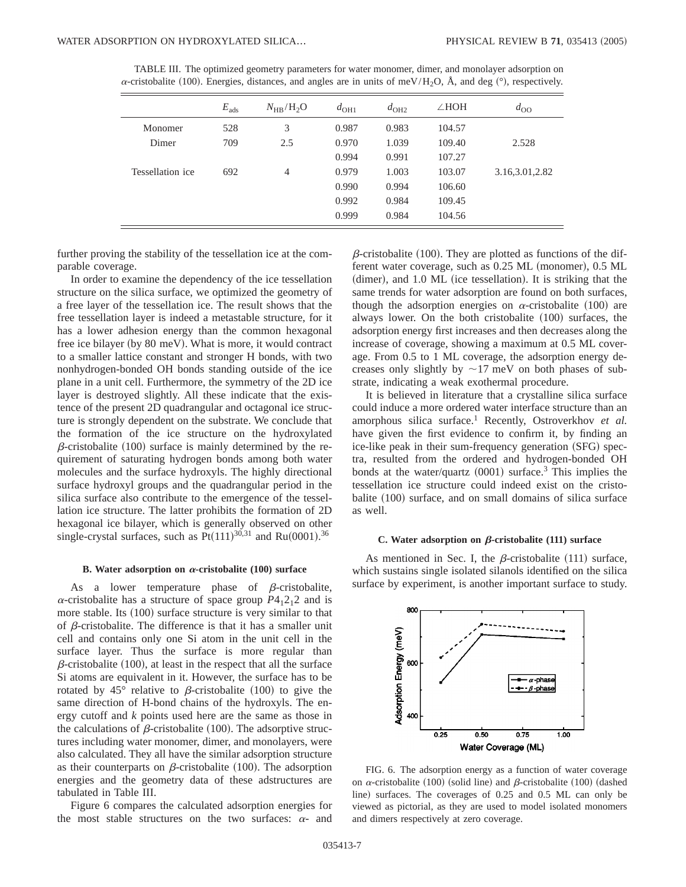| TABLE III. The optimized geometry parameters for water monomer, dimer, and monolayer adsorption on                                |  |  |  |
|-----------------------------------------------------------------------------------------------------------------------------------|--|--|--|
| $\alpha$ -cristobalite (100). Energies, distances, and angles are in units of meV/H <sub>2</sub> O, Å, and deg (°), respectively. |  |  |  |

|                  | $E_{\text{ads}}$ | $N_{\rm HB}/H_2O$ | $d_{\text{OH1}}$ | $d_{\text{OH2}}$ | $\angle$ HOH | $d_{\rm OO}$   |
|------------------|------------------|-------------------|------------------|------------------|--------------|----------------|
| Monomer          | 528              | 3                 | 0.987            | 0.983            | 104.57       |                |
| Dimer            | 709              | 2.5               | 0.970            | 1.039            | 109.40       | 2.528          |
|                  |                  |                   | 0.994            | 0.991            | 107.27       |                |
| Tessellation ice | 692              | $\overline{4}$    | 0.979            | 1.003            | 103.07       | 3.16,3.01,2.82 |
|                  |                  |                   | 0.990            | 0.994            | 106.60       |                |
|                  |                  |                   | 0.992            | 0.984            | 109.45       |                |
|                  |                  |                   | 0.999            | 0.984            | 104.56       |                |

further proving the stability of the tessellation ice at the comparable coverage.

In order to examine the dependency of the ice tessellation structure on the silica surface, we optimized the geometry of a free layer of the tessellation ice. The result shows that the free tessellation layer is indeed a metastable structure, for it has a lower adhesion energy than the common hexagonal free ice bilayer (by 80 meV). What is more, it would contract to a smaller lattice constant and stronger H bonds, with two nonhydrogen-bonded OH bonds standing outside of the ice plane in a unit cell. Furthermore, the symmetry of the 2D ice layer is destroyed slightly. All these indicate that the existence of the present 2D quadrangular and octagonal ice structure is strongly dependent on the substrate. We conclude that the formation of the ice structure on the hydroxylated  $\beta$ -cristobalite (100) surface is mainly determined by the requirement of saturating hydrogen bonds among both water molecules and the surface hydroxyls. The highly directional surface hydroxyl groups and the quadrangular period in the silica surface also contribute to the emergence of the tessellation ice structure. The latter prohibits the formation of 2D hexagonal ice bilayer, which is generally observed on other single-crystal surfaces, such as  $Pt(111)^{30,31}$  and  $Ru(0001)^{36}$ 

#### **B.** Water adsorption on  $\alpha$ -cristobalite (100) surface

As a lower temperature phase of  $\beta$ -cristobalite,  $\alpha$ -cristobalite has a structure of space group  $P_1^2_1^2_2$  and is more stable. Its  $(100)$  surface structure is very similar to that of  $\beta$ -cristobalite. The difference is that it has a smaller unit cell and contains only one Si atom in the unit cell in the surface layer. Thus the surface is more regular than  $\beta$ -cristobalite (100), at least in the respect that all the surface Si atoms are equivalent in it. However, the surface has to be rotated by 45° relative to  $\beta$ -cristobalite (100) to give the same direction of H-bond chains of the hydroxyls. The energy cutoff and *k* points used here are the same as those in the calculations of  $\beta$ -cristobalite (100). The adsorptive structures including water monomer, dimer, and monolayers, were also calculated. They all have the similar adsorption structure as their counterparts on  $\beta$ -cristobalite (100). The adsorption energies and the geometry data of these adstructures are tabulated in Table III.

Figure 6 compares the calculated adsorption energies for the most stable structures on the two surfaces:  $\alpha$ - and  $\beta$ -cristobalite (100). They are plotted as functions of the different water coverage, such as  $0.25$  ML (monomer),  $0.5$  ML  $(dimer)$ , and 1.0 ML (ice tessellation). It is striking that the same trends for water adsorption are found on both surfaces, though the adsorption energies on  $\alpha$ -cristobalite (100) are always lower. On the both cristobalite  $(100)$  surfaces, the adsorption energy first increases and then decreases along the increase of coverage, showing a maximum at 0.5 ML coverage. From 0.5 to 1 ML coverage, the adsorption energy decreases only slightly by  $\sim$ 17 meV on both phases of substrate, indicating a weak exothermal procedure.

It is believed in literature that a crystalline silica surface could induce a more ordered water interface structure than an amorphous silica surface.<sup>1</sup> Recently, Ostroverkhov *et al.* have given the first evidence to confirm it, by finding an ice-like peak in their sum-frequency generation (SFG) spectra, resulted from the ordered and hydrogen-bonded OH bonds at the water/quartz  $(0001)$  surface.<sup>3</sup> This implies the tessellation ice structure could indeed exist on the cristobalite  $(100)$  surface, and on small domains of silica surface as well.

#### **C. Water adsorption on**  $\beta$ **-cristobalite (111) surface**

As mentioned in Sec. I, the  $\beta$ -cristobalite (111) surface, which sustains single isolated silanols identified on the silica surface by experiment, is another important surface to study.



FIG. 6. The adsorption energy as a function of water coverage on  $\alpha$ -cristobalite (100) (solid line) and  $\beta$ -cristobalite (100) (dashed line) surfaces. The coverages of 0.25 and 0.5 ML can only be viewed as pictorial, as they are used to model isolated monomers and dimers respectively at zero coverage.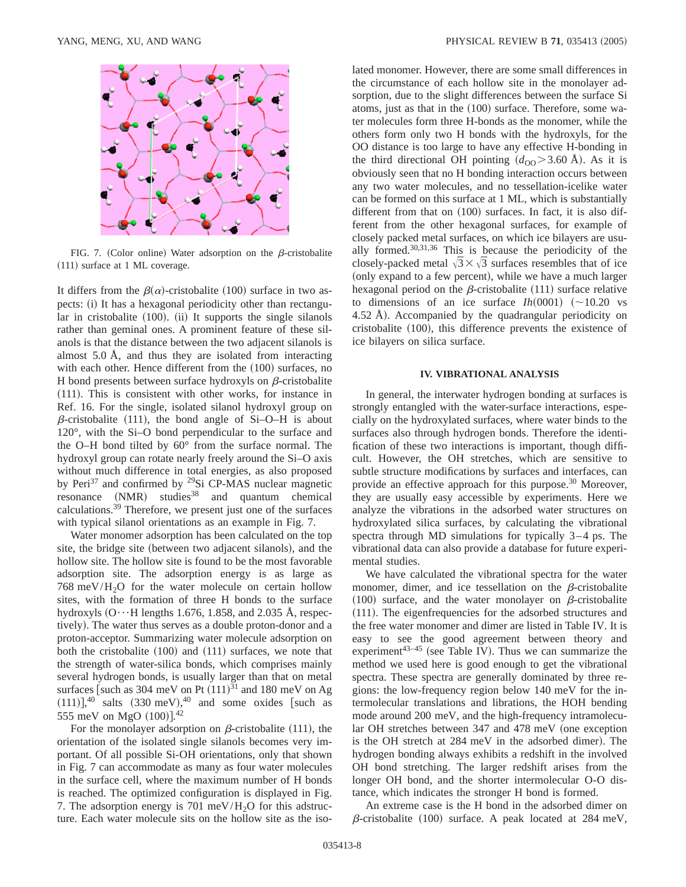

FIG. 7. (Color online) Water adsorption on the  $\beta$ -cristobalite  $(111)$  surface at 1 ML coverage.

It differs from the  $\beta(\alpha)$ -cristobalite (100) surface in two aspects: (i) It has a hexagonal periodicity other than rectangular in cristobalite  $(100)$ . (ii) It supports the single silanols rather than geminal ones. A prominent feature of these silanols is that the distance between the two adjacent silanols is almost 5.0 Å, and thus they are isolated from interacting with each other. Hence different from the  $(100)$  surfaces, no H bond presents between surface hydroxyls on  $\beta$ -cristobalite  $(111)$ . This is consistent with other works, for instance in Ref. 16. For the single, isolated silanol hydroxyl group on  $\beta$ -cristobalite (111), the bond angle of Si–O–H is about 120°, with the Si–O bond perpendicular to the surface and the O–H bond tilted by 60° from the surface normal. The hydroxyl group can rotate nearly freely around the Si–O axis without much difference in total energies, as also proposed by Peri<sup>37</sup> and confirmed by  $29$ Si CP-MAS nuclear magnetic resonance  $(NMR)$  studies<sup>38</sup> and quantum chemical calculations.39 Therefore, we present just one of the surfaces with typical silanol orientations as an example in Fig. 7.

Water monomer adsorption has been calculated on the top site, the bridge site (between two adjacent silanols), and the hollow site. The hollow site is found to be the most favorable adsorption site. The adsorption energy is as large as  $768 \text{ meV/H}_2$ O for the water molecule on certain hollow sites, with the formation of three H bonds to the surface hydroxyls  $(O \cdots H)$  lengths 1.676, 1.858, and 2.035 Å, respectively). The water thus serves as a double proton-donor and a proton-acceptor. Summarizing water molecule adsorption on both the cristobalite  $(100)$  and  $(111)$  surfaces, we note that the strength of water-silica bonds, which comprises mainly several hydrogen bonds, is usually larger than that on metal surfaces [such as 304 meV on Pt  $(111)^{31}$  and 180 meV on Ag  $(111)$ ,<sup>40</sup> salts  $(330 \text{ meV})$ ,<sup>40</sup> and some oxides [such as 555 meV on MgO  $(100)$ ].<sup>42</sup>

For the monolayer adsorption on  $\beta$ -cristobalite (111), the orientation of the isolated single silanols becomes very important. Of all possible Si-OH orientations, only that shown in Fig. 7 can accommodate as many as four water molecules in the surface cell, where the maximum number of H bonds is reached. The optimized configuration is displayed in Fig. 7. The adsorption energy is  $701 \text{ meV/H}_2\text{O}$  for this adstructure. Each water molecule sits on the hollow site as the isolated monomer. However, there are some small differences in the circumstance of each hollow site in the monolayer adsorption, due to the slight differences between the surface Si atoms, just as that in the  $(100)$  surface. Therefore, some water molecules form three H-bonds as the monomer, while the others form only two H bonds with the hydroxyls, for the OO distance is too large to have any effective H-bonding in the third directional OH pointing  $(d_{00} > 3.60 \text{ Å})$ . As it is obviously seen that no H bonding interaction occurs between any two water molecules, and no tessellation-icelike water can be formed on this surface at 1 ML, which is substantially different from that on  $(100)$  surfaces. In fact, it is also different from the other hexagonal surfaces, for example of closely packed metal surfaces, on which ice bilayers are usually formed.30,31,36 This is because the periodicity of the closely-packed metal  $\sqrt{3} \times \sqrt{3}$  surfaces resembles that of ice (only expand to a few percent), while we have a much larger hexagonal period on the  $\beta$ -cristobalite (111) surface relative to dimensions of an ice surface  $lh(0001)$  ( $\sim$ 10.20 vs 4.52 Å). Accompanied by the quadrangular periodicity on cristobalite  $(100)$ , this difference prevents the existence of ice bilayers on silica surface.

# **IV. VIBRATIONAL ANALYSIS**

In general, the interwater hydrogen bonding at surfaces is strongly entangled with the water-surface interactions, especially on the hydroxylated surfaces, where water binds to the surfaces also through hydrogen bonds. Therefore the identification of these two interactions is important, though difficult. However, the OH stretches, which are sensitive to subtle structure modifications by surfaces and interfaces, can provide an effective approach for this purpose.<sup>30</sup> Moreover, they are usually easy accessible by experiments. Here we analyze the vibrations in the adsorbed water structures on hydroxylated silica surfaces, by calculating the vibrational spectra through MD simulations for typically 3–4 ps. The vibrational data can also provide a database for future experimental studies.

We have calculated the vibrational spectra for the water monomer, dimer, and ice tessellation on the  $\beta$ -cristobalite (100) surface, and the water monolayer on  $\beta$ -cristobalite (111). The eigenfrequencies for the adsorbed structures and the free water monomer and dimer are listed in Table IV. It is easy to see the good agreement between theory and experiment<sup>43–45</sup> (see Table IV). Thus we can summarize the method we used here is good enough to get the vibrational spectra. These spectra are generally dominated by three regions: the low-frequency region below 140 meV for the intermolecular translations and librations, the HOH bending mode around 200 meV, and the high-frequency intramolecular OH stretches between 347 and 478 meV (one exception is the OH stretch at 284 meV in the adsorbed dimer). The hydrogen bonding always exhibits a redshift in the involved OH bond stretching. The larger redshift arises from the longer OH bond, and the shorter intermolecular O-O distance, which indicates the stronger H bond is formed.

An extreme case is the H bond in the adsorbed dimer on  $\beta$ -cristobalite (100) surface. A peak located at 284 meV,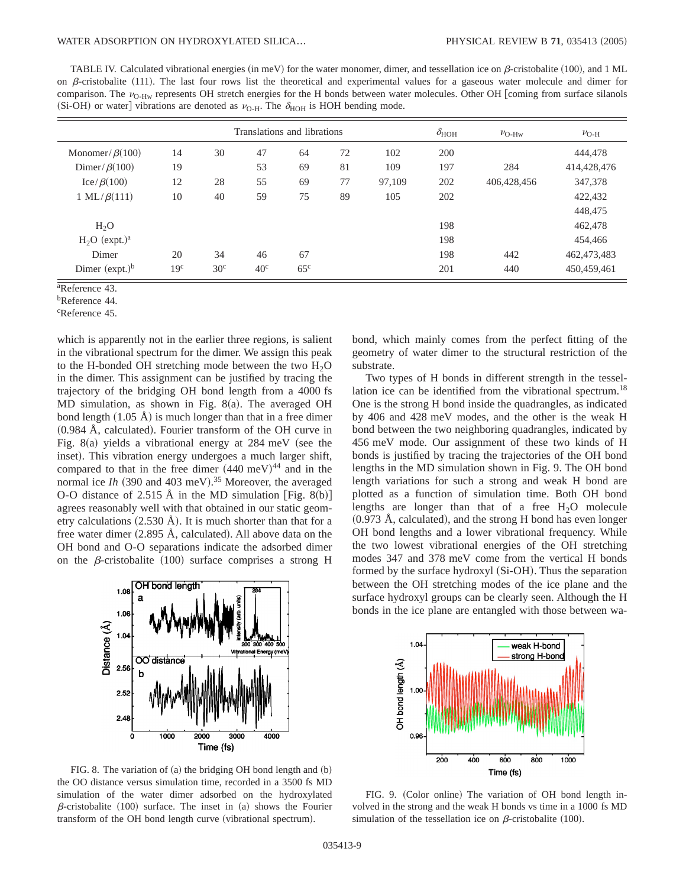TABLE IV. Calculated vibrational energies (in meV) for the water monomer, dimer, and tessellation ice on  $\beta$ -cristobalite (100), and 1 ML on  $\beta$ -cristobalite (111). The last four rows list the theoretical and experimental values for a gaseous water molecule and dimer for comparison. The  $v_{O-Hw}$  represents OH stretch energies for the H bonds between water molecules. Other OH [coming from surface silanols (Si-OH) or water] vibrations are denoted as  $v_{O-H}$ . The  $\delta_{HOH}$  is HOH bending mode.

| Translations and librations |                 |                 |                 |              |    |        | $\delta_{\rm HOH}$ | $v_{\text{O-Hw}}$ | $v_{\text{O-H}}$ |
|-----------------------------|-----------------|-----------------|-----------------|--------------|----|--------|--------------------|-------------------|------------------|
| Monomer/ $\beta$ (100)      | 14              | 30              | 47              | 64           | 72 | 102    | 200                |                   | 444,478          |
| Dimer/ $\beta$ (100)        | 19              |                 | 53              | 69           | 81 | 109    | 197                | 284               | 414,428,476      |
| $\text{Ice}/\beta(100)$     | 12              | 28              | 55              | 69           | 77 | 97,109 | 202                | 406,428,456       | 347,378          |
| 1 ML/ $\beta$ (111)         | 10              | 40              | 59              | 75           | 89 | 105    | 202                |                   | 422,432          |
|                             |                 |                 |                 |              |    |        |                    |                   | 448,475          |
| H <sub>2</sub> O            |                 |                 |                 |              |    |        | 198                |                   | 462,478          |
| $H_2O$ (expt.) <sup>a</sup> |                 |                 |                 |              |    |        | 198                |                   | 454,466          |
| Dimer                       | 20              | 34              | 46              | 67           |    |        | 198                | 442               | 462, 473, 483    |
| Dimer $(expt.)^b$           | 19 <sup>c</sup> | 30 <sup>c</sup> | 40 <sup>c</sup> | $65^{\circ}$ |    |        | 201                | 440               | 450,459,461      |

a Reference 43.

bReference 44.

c Reference 45.

which is apparently not in the earlier three regions, is salient in the vibrational spectrum for the dimer. We assign this peak to the H-bonded OH stretching mode between the two  $H_2O$ in the dimer. This assignment can be justified by tracing the trajectory of the bridging OH bond length from a 4000 fs MD simulation, as shown in Fig.  $8(a)$ . The averaged OH bond length  $(1.05 \text{ Å})$  is much longer than that in a free dimer  $(0.984 \text{ Å}, \text{ calculated})$ . Fourier transform of the OH curve in Fig. 8(a) yields a vibrational energy at  $284 \text{ meV}$  (see the inset). This vibration energy undergoes a much larger shift, compared to that in the free dimer  $(440 \text{ meV})^{44}$  and in the normal ice *Ih* (390 and 403 meV).<sup>35</sup> Moreover, the averaged O-O distance of 2.515 Å in the MD simulation [Fig. 8(b)] agrees reasonably well with that obtained in our static geometry calculations  $(2.530 \text{ Å})$ . It is much shorter than that for a free water dimer  $(2.895 \text{ Å}, \text{calculated})$ . All above data on the OH bond and O-O separations indicate the adsorbed dimer on the  $\beta$ -cristobalite (100) surface comprises a strong H



FIG. 8. The variation of (a) the bridging OH bond length and  $(b)$ the OO distance versus simulation time, recorded in a 3500 fs MD simulation of the water dimer adsorbed on the hydroxylated  $\beta$ -cristobalite (100) surface. The inset in (a) shows the Fourier transform of the OH bond length curve (vibrational spectrum).

bond, which mainly comes from the perfect fitting of the geometry of water dimer to the structural restriction of the substrate.

Two types of H bonds in different strength in the tessellation ice can be identified from the vibrational spectrum.<sup>18</sup> One is the strong H bond inside the quadrangles, as indicated by 406 and 428 meV modes, and the other is the weak H bond between the two neighboring quadrangles, indicated by 456 meV mode. Our assignment of these two kinds of H bonds is justified by tracing the trajectories of the OH bond lengths in the MD simulation shown in Fig. 9. The OH bond length variations for such a strong and weak H bond are plotted as a function of simulation time. Both OH bond lengths are longer than that of a free  $H<sub>2</sub>O$  molecule  $(0.973 \text{ Å}, \text{calculated})$ , and the strong H bond has even longer OH bond lengths and a lower vibrational frequency. While the two lowest vibrational energies of the OH stretching modes 347 and 378 meV come from the vertical H bonds formed by the surface hydroxyl  $(Si-OH)$ . Thus the separation between the OH stretching modes of the ice plane and the surface hydroxyl groups can be clearly seen. Although the H bonds in the ice plane are entangled with those between wa-



FIG. 9. (Color online) The variation of OH bond length involved in the strong and the weak H bonds vs time in a 1000 fs MD simulation of the tessellation ice on  $\beta$ -cristobalite (100).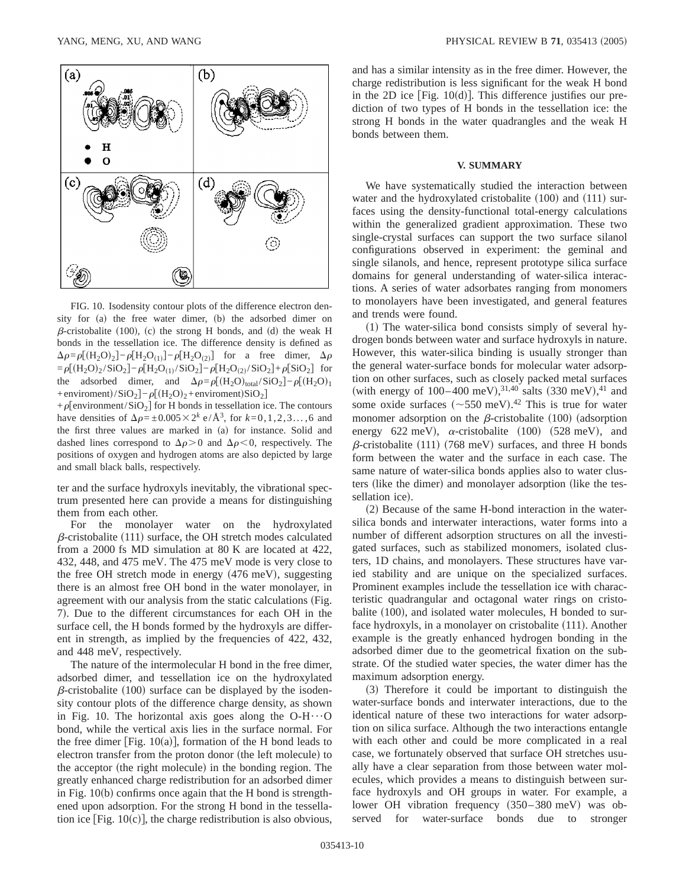

FIG. 10. Isodensity contour plots of the difference electron density for (a) the free water dimer, (b) the adsorbed dimer on  $\beta$ -cristobalite (100), (c) the strong H bonds, and (d) the weak H bonds in the tessellation ice. The difference density is defined as  $\Delta \rho = \rho \left[ (H_2O)_2 \right] - \rho \left[ H_2O_{(1)} \right] - \rho \left[ H_2O_{(2)} \right]$  for a free dimer,  $\Delta \rho$  $= \rho [(H_2O)_2 / SiO_2] - \rho [H_2O_{(1)} / SiO_2] - \rho [H_2O_{(2)} / SiO_2] + \rho [SiO_2]$  for the adsorbed dimer, and  $\Delta \rho = \rho \left[ (\text{H}_2\text{O})_{\text{total}} / \text{SiO}_2 \right] - \rho \left[ (\text{H}_2\text{O})_1 \right]$ +enviroment)/SiO<sub>2</sub>]- $\rho$ [(H<sub>2</sub>O)<sub>2</sub>+enviroment)SiO<sub>2</sub>]

+ $\rho$ [environment/SiO<sub>2</sub>] for H bonds in tessellation ice. The contours have densities of  $\Delta \rho = \pm 0.005 \times 2^k \frac{e}{\mathbf{A}^3}$ , for  $k = 0, 1, 2, 3...$ , 6 and the first three values are marked in (a) for instance. Solid and dashed lines correspond to  $\Delta \rho > 0$  and  $\Delta \rho < 0$ , respectively. The positions of oxygen and hydrogen atoms are also depicted by large and small black balls, respectively.

ter and the surface hydroxyls inevitably, the vibrational spectrum presented here can provide a means for distinguishing them from each other.

For the monolayer water on the hydroxylated  $\beta$ -cristobalite (111) surface, the OH stretch modes calculated from a 2000 fs MD simulation at 80 K are located at 422, 432, 448, and 475 meV. The 475 meV mode is very close to the free OH stretch mode in energy  $(476 \text{ meV})$ , suggesting there is an almost free OH bond in the water monolayer, in agreement with our analysis from the static calculations (Fig. 7). Due to the different circumstances for each OH in the surface cell, the H bonds formed by the hydroxyls are different in strength, as implied by the frequencies of 422, 432, and 448 meV, respectively.

The nature of the intermolecular H bond in the free dimer, adsorbed dimer, and tessellation ice on the hydroxylated  $\beta$ -cristobalite (100) surface can be displayed by the isodensity contour plots of the difference charge density, as shown in Fig. 10. The horizontal axis goes along the  $O-H\cdots O$ bond, while the vertical axis lies in the surface normal. For the free dimer [Fig.  $10(a)$ ], formation of the H bond leads to electron transfer from the proton donor (the left molecule) to the acceptor (the right molecule) in the bonding region. The greatly enhanced charge redistribution for an adsorbed dimer in Fig.  $10(b)$  confirms once again that the H bond is strengthened upon adsorption. For the strong H bond in the tessellation ice [Fig.  $10(c)$ ], the charge redistribution is also obvious, and has a similar intensity as in the free dimer. However, the charge redistribution is less significant for the weak H bond in the 2D ice [Fig.  $10(d)$ ]. This difference justifies our prediction of two types of H bonds in the tessellation ice: the strong H bonds in the water quadrangles and the weak H bonds between them.

#### **V. SUMMARY**

We have systematically studied the interaction between water and the hydroxylated cristobalite  $(100)$  and  $(111)$  surfaces using the density-functional total-energy calculations within the generalized gradient approximation. These two single-crystal surfaces can support the two surface silanol configurations observed in experiment: the geminal and single silanols, and hence, represent prototype silica surface domains for general understanding of water-silica interactions. A series of water adsorbates ranging from monomers to monolayers have been investigated, and general features and trends were found.

 $(1)$  The water-silica bond consists simply of several hydrogen bonds between water and surface hydroxyls in nature. However, this water-silica binding is usually stronger than the general water-surface bonds for molecular water adsorption on other surfaces, such as closely packed metal surfaces (with energy of  $100-400$  meV),  $31,40$  salts  $(330 \text{ meV})$ ,  $41$  and some oxide surfaces  $(\sim 550 \text{ meV})$ .<sup>42</sup> This is true for water monomer adsorption on the  $\beta$ -cristobalite (100) (adsorption energy 622 meV),  $\alpha$ -cristobalite (100) (528 meV), and  $\beta$ -cristobalite (111) (768 meV) surfaces, and three H bonds form between the water and the surface in each case. The same nature of water-silica bonds applies also to water clusters (like the dimer) and monolayer adsorption (like the tessellation ice).

 $(2)$  Because of the same H-bond interaction in the watersilica bonds and interwater interactions, water forms into a number of different adsorption structures on all the investigated surfaces, such as stabilized monomers, isolated clusters, 1D chains, and monolayers. These structures have varied stability and are unique on the specialized surfaces. Prominent examples include the tessellation ice with characteristic quadrangular and octagonal water rings on cristobalite (100), and isolated water molecules, H bonded to surface hydroxyls, in a monolayer on cristobalite  $(111)$ . Another example is the greatly enhanced hydrogen bonding in the adsorbed dimer due to the geometrical fixation on the substrate. Of the studied water species, the water dimer has the maximum adsorption energy.

 $(3)$  Therefore it could be important to distinguish the water-surface bonds and interwater interactions, due to the identical nature of these two interactions for water adsorption on silica surface. Although the two interactions entangle with each other and could be more complicated in a real case, we fortunately observed that surface OH stretches usually have a clear separation from those between water molecules, which provides a means to distinguish between surface hydroxyls and OH groups in water. For example, a lower OH vibration frequency (350–380 meV) was observed for water-surface bonds due to stronger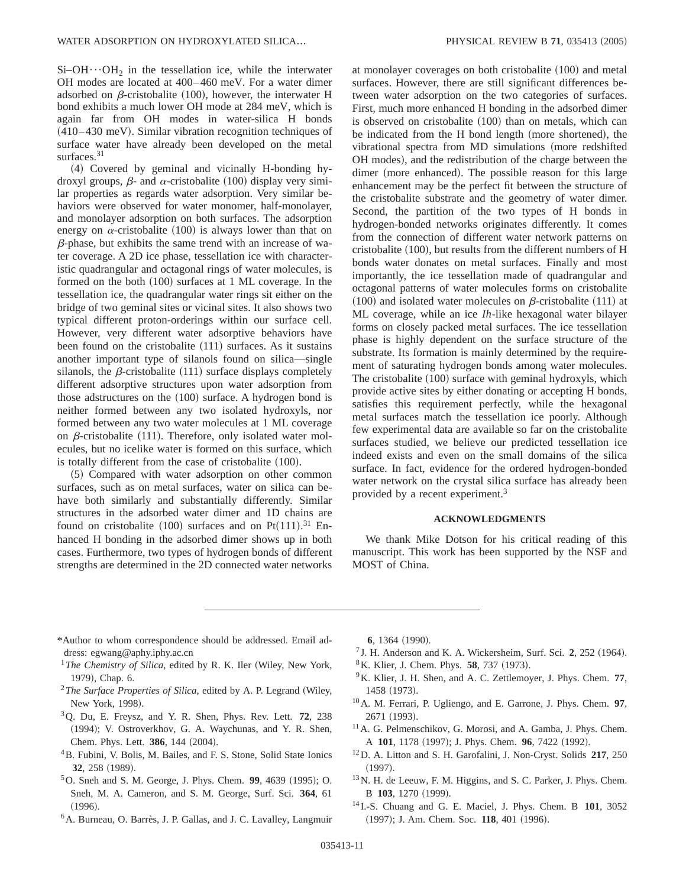$Si-OH\cdots OH$ <sub>2</sub> in the tessellation ice, while the interwater OH modes are located at 400–460 meV. For a water dimer adsorbed on  $\beta$ -cristobalite (100), however, the interwater H bond exhibits a much lower OH mode at 284 meV, which is again far from OH modes in water-silica H bonds  $(410-430 \text{ meV})$ . Similar vibration recognition techniques of surface water have already been developed on the metal surfaces.<sup>31</sup>

 $(4)$  Covered by geminal and vicinally H-bonding hydroxyl groups,  $\beta$ - and  $\alpha$ -cristobalite (100) display very similar properties as regards water adsorption. Very similar behaviors were observed for water monomer, half-monolayer, and monolayer adsorption on both surfaces. The adsorption energy on  $\alpha$ -cristobalite (100) is always lower than that on  $\beta$ -phase, but exhibits the same trend with an increase of water coverage. A 2D ice phase, tessellation ice with characteristic quadrangular and octagonal rings of water molecules, is formed on the both  $(100)$  surfaces at 1 ML coverage. In the tessellation ice, the quadrangular water rings sit either on the bridge of two geminal sites or vicinal sites. It also shows two typical different proton-orderings within our surface cell. However, very different water adsorptive behaviors have been found on the cristobalite  $(111)$  surfaces. As it sustains another important type of silanols found on silica—single silanols, the  $\beta$ -cristobalite (111) surface displays completely different adsorptive structures upon water adsorption from those adstructures on the  $(100)$  surface. A hydrogen bond is neither formed between any two isolated hydroxyls, nor formed between any two water molecules at 1 ML coverage on  $\beta$ -cristobalite (111). Therefore, only isolated water molecules, but no icelike water is formed on this surface, which is totally different from the case of cristobalite  $(100)$ .

(5) Compared with water adsorption on other common surfaces, such as on metal surfaces, water on silica can behave both similarly and substantially differently. Similar structures in the adsorbed water dimer and 1D chains are found on cristobalite (100) surfaces and on  $Pt(111).^{31}$  Enhanced H bonding in the adsorbed dimer shows up in both cases. Furthermore, two types of hydrogen bonds of different strengths are determined in the 2D connected water networks at monolayer coverages on both cristobalite  $(100)$  and metal surfaces. However, there are still significant differences between water adsorption on the two categories of surfaces. First, much more enhanced H bonding in the adsorbed dimer is observed on cristobalite  $(100)$  than on metals, which can be indicated from the H bond length (more shortened), the vibrational spectra from MD simulations (more redshifted OH modes), and the redistribution of the charge between the dimer (more enhanced). The possible reason for this large enhancement may be the perfect fit between the structure of the cristobalite substrate and the geometry of water dimer. Second, the partition of the two types of H bonds in hydrogen-bonded networks originates differently. It comes from the connection of different water network patterns on cristobalite  $(100)$ , but results from the different numbers of H bonds water donates on metal surfaces. Finally and most importantly, the ice tessellation made of quadrangular and octagonal patterns of water molecules forms on cristobalite (100) and isolated water molecules on  $\beta$ -cristobalite (111) at ML coverage, while an ice *Ih*-like hexagonal water bilayer forms on closely packed metal surfaces. The ice tessellation phase is highly dependent on the surface structure of the substrate. Its formation is mainly determined by the requirement of saturating hydrogen bonds among water molecules. The cristobalite  $(100)$  surface with geminal hydroxyls, which provide active sites by either donating or accepting H bonds, satisfies this requirement perfectly, while the hexagonal metal surfaces match the tessellation ice poorly. Although few experimental data are available so far on the cristobalite surfaces studied, we believe our predicted tessellation ice indeed exists and even on the small domains of the silica surface. In fact, evidence for the ordered hydrogen-bonded water network on the crystal silica surface has already been provided by a recent experiment.3

# **ACKNOWLEDGMENTS**

We thank Mike Dotson for his critical reading of this manuscript. This work has been supported by the NSF and MOST of China.

- \*Author to whom correspondence should be addressed. Email address: egwang@aphy.iphy.ac.cn
- <sup>1</sup>The Chemistry of Silica, edited by R. K. Iler (Wiley, New York, 1979), Chap. 6.
- $2$ *The Surface Properties of Silica*, edited by A. P. Legrand (Wiley, New York, 1998).
- 3Q. Du, E. Freysz, and Y. R. Shen, Phys. Rev. Lett. **72**, 238 (1994); V. Ostroverkhov, G. A. Waychunas, and Y. R. Shen, Chem. Phys. Lett. 386, 144 (2004).
- 4B. Fubini, V. Bolis, M. Bailes, and F. S. Stone, Solid State Ionics **32**, 258 (1989).
- $5$ O. Sneh and S. M. George, J. Phys. Chem. **99**, 4639 (1995); O. Sneh, M. A. Cameron, and S. M. George, Surf. Sci. **364**, 61  $(1996).$
- 6A. Burneau, O. Barrès, J. P. Gallas, and J. C. Lavalley, Langmuir

**6**, 1364 (1990).

- <sup>7</sup> J. H. Anderson and K. A. Wickersheim, Surf. Sci. 2, 252 (1964).
- <sup>8</sup>K. Klier, J. Chem. Phys. **58**, 737 (1973).
- 9K. Klier, J. H. Shen, and A. C. Zettlemoyer, J. Phys. Chem. **77**, 1458 (1973).
- 10A. M. Ferrari, P. Ugliengo, and E. Garrone, J. Phys. Chem. **97**, 2671 (1993).
- <sup>11</sup> A. G. Pelmenschikov, G. Morosi, and A. Gamba, J. Phys. Chem. A **101**, 1178 (1997); J. Phys. Chem. **96**, 7422 (1992).
- 12D. A. Litton and S. H. Garofalini, J. Non-Cryst. Solids **217**, 250  $(1997).$
- $13$ N. H. de Leeuw, F. M. Higgins, and S. C. Parker, J. Phys. Chem. B 103, 1270 (1999).
- <sup>14</sup> I.-S. Chuang and G. E. Maciel, J. Phys. Chem. B **101**, 3052 (1997); J. Am. Chem. Soc. 118, 401 (1996).